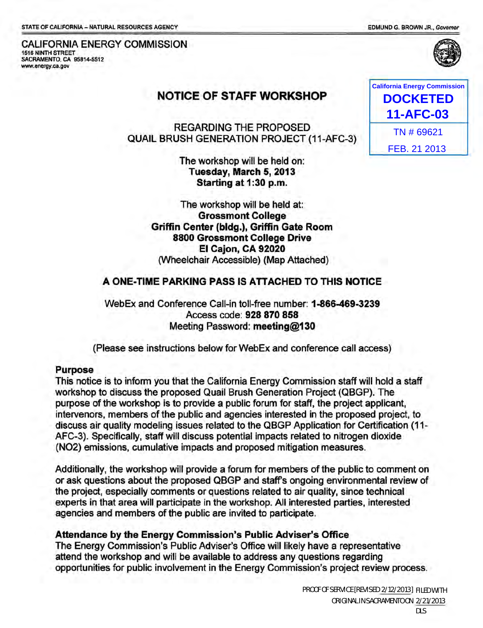EDMUND G. BROWN JR., Govemor



#### CALIFORNIA ENERGY COMMISSION 1516 NINTH STREET SACRAMENTO, CA 95814-5512 www.energy.ca.gov

# NOTICE OF STAFF WORKSHOP

REGARDING THE PROPOSED QUAIL BRUSH GENERATION PROJECT (11-AFC-3)

> The workshop will be held on: Tuesday, March 5, 2013 Starting at 1:30 p.m.

The workshop will be held at: Grossmont College Griffin Center (bldg.), Griffin Gate Room 8800 Grossmont College Drive EI Cajon, CA 92020 (Wheelchair Accessible) (Map Attached)

## A ONE-TIME PARKING PASS IS ATTACHED TO THIS NOTICE

WebEx and Conference Call-in toll-free number: 1-866-469-3239 Access code: 928 870 858 Meeting Password: meeting@130

(Please see instructions below for WebEx and conference call access)

## Purpose

This notice is to inform you that the California Energy Commission staff will hold a staff workshop to discuss the proposed Quail Brush Generation Project (QBGP). The purpose of the workshop is to provide a public forum for staff, the project applicant, intervenors, members of the public and agencies interested in the proposed project, to discuss air quality modeling issues related to the QBGP Application for Certification (11- AFC-3). Specifically, staff will discuss potential impacts related to nitrogen dioxide (N02) emissions, cumulative impacts and proposed mitigation measures.

Additionally, the workshop will provide a forum for members of the public to comment on or ask questions about the proposed QBGP and staff's ongoing environmental review of the project, especially comments or questions related to air quality, since technical experts in that area will participate in the workshop. All interested parties, interested agencies and members of the public are invited to participate.

## Attendance by the Energy Commission's Public Adviser's Office

The Energy Commission's Public Adviser's Office will likely have a representative attend the workshop and will be available to address any questions regarding opportunities for public involvement in the Energy Commission's project review process.

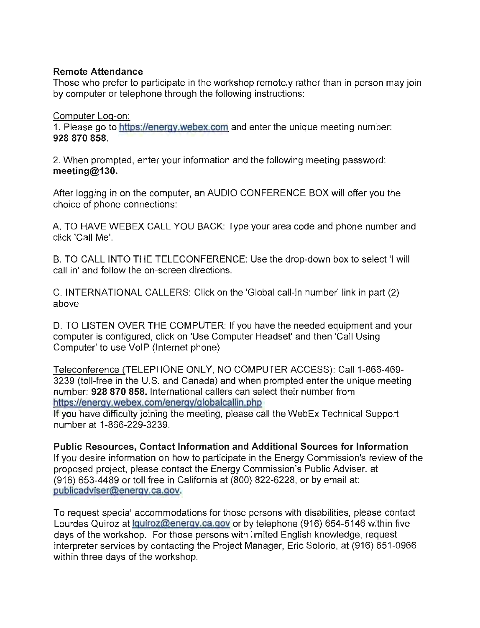## Remote Attendance

Those who prefer to participate in the workshop remotely rather than in person may join by computer or telephone through the following instructions:

## Computer Log-on:

1. Please go to https://energy.webex.com and enter the unique meeting number: 928870858.

2. When prompted, enter your information and the following meeting password: meeting@130.

After logging in on the computer, an AUDIO CONFERENCE BOX will offer you the choice of phone connections:

A. TO HAVE WEBEX CALL YOU BACK: Type your area code and phone number and click 'Call Me'.

B. TO CALL INTO THE TELECONFERENCE: Use the drop-down box to select 'I will call in' and follow the on-screen directions.

C. INTERNATIONAL CALLERS: Click on the 'Global call-in number' link in part (2) above

D. TO LISTEN OVER THE COMPUTER: If you have the needed equipment and your computer is configured, click on 'Use Computer Headset' and then 'Call Using Computer' to use VolP (Internet phone)

Teleconference (TELEPHONE ONLY, NO COMPUTER ACCESS): Call 1-866-469- 3239 (toll-free in the U.s. and Canada) and when prompted enter the unique meeting number: 928 870 858. International callers can select their number from https:/Ienergy.webex.com/energy/globalcallin.php

If you have difficulty joining the meeting, please call the WebEx Technical Support number at 1-866-229-3239.

Public Resources, Contact Information and Additional Sources for Information If you desire information on how to participate in the Energy Commission's review of the proposed project, please contact the Energy Commission's Public Adviser, at (916) 653-4489 or toll free in California at (800) 822-6228, or by email at: publicadviser@energy.ca.gov.

To request special accommodations for those persons with disabilities, please contact Lourdes Quiroz at Iguiroz@energy.ca.gov or by telephone (916) 654-5146 within five days of the workshop. For those persons with limited English knowledge, request interpreter services by contacting the Project Manager, Eric Solorio, at (916) 651-0966 within three days of the workshop.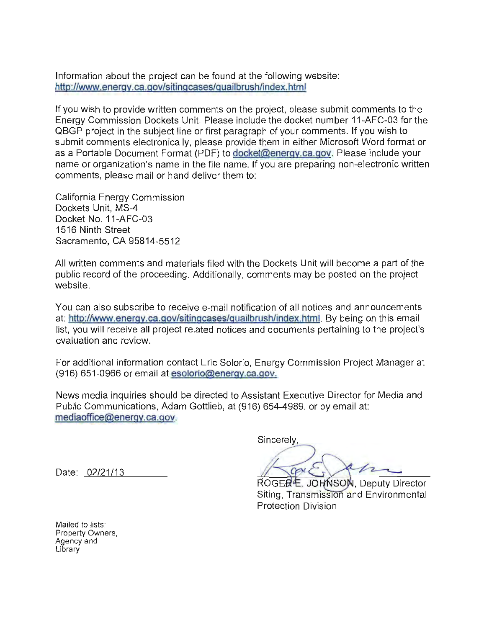Information about the project can be found at the following website: http://www.energy.ca.gov/sitingcases/guailbrush/index.html

If you wish to provide written comments on the project, please submit comments to the Energy Commission Dockets Unit. Please include the docket number 11-AFC-03 for the QBGP project in the subject line or first paragraph of your comments. If you wish to submit comments electronically, please provide them in either Microsoft Word format or as a Portable Document Format (PDF) to docket@energy.ca.gov. Please include your name or organization's name in the file name. If you are preparing non-electronic written comments, please mail or hand deliver them to:

California Energy Commission Dockets Unit, MS-4 Docket No. 11-AFC-03 1516 Ninth Street Sacramento, CA 95814-5512

All written comments and materials filed with the Dockets Unit will become a part of the public record of the proceeding. Additionally, comments may be posted on the project website.

You can also subscribe to receive e-mail notification of all notices and announcements at: http://www.energy.ca.gov/sitingcases/guailbrush/index.html. By being on this email list, you will receive all project related notices and documents pertaining to the project's evaluation and review.

For additional information contact Eric Solorio, Energy Commission Project Manager at (916) 651-0966 or email at esolorio@energy.ca.gov.

News media inquiries should be directed to Assistant Executive Director for Media and Public Communications, Adam Gottlieb, at (916) 654-4989, or by email at: mediaoffice@energy.ca.gov.

Date: 02/21/13

Sincerely.

/ caus

ROGER<sup>E</sup>. JOHNSON, Deputy Director Siting. Transmission and Environmental **Protection Division** 

Mailed to lists: Property Owners, Agency and **Library**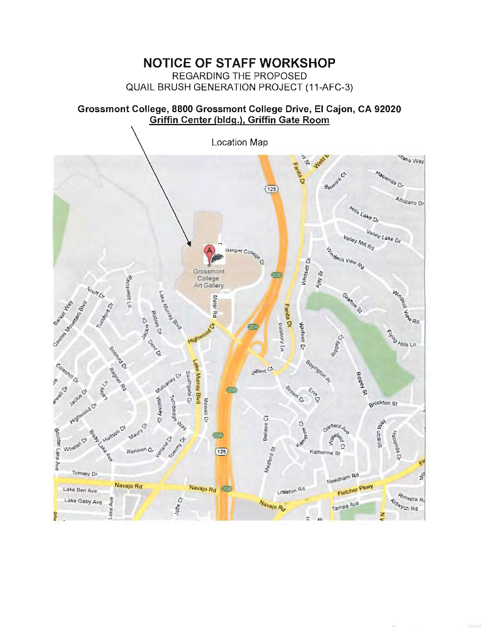# NOTICE OF STAFF WORKSHOP

REGARDING THE PROPOSED QUAIL BRUSH GENERATION PROJECT (11-AFC-3)

## Grossmont College, 8800 Grossmont College Drive, EI Cajon, CA 92020 Griffin Center (bldg.), Griffin Gate Room

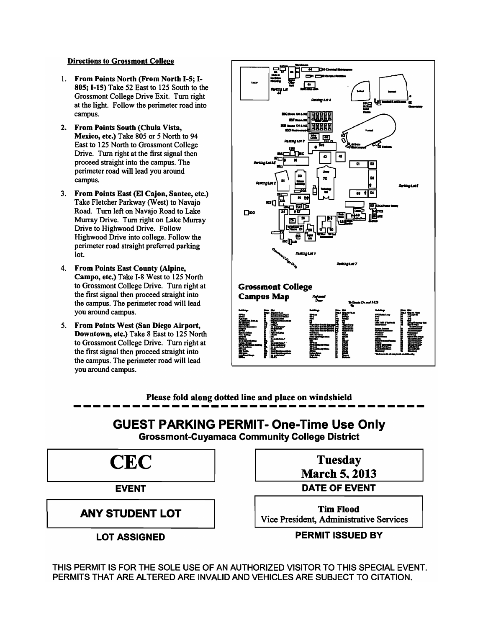#### Directions to Grossmont College

- 1. From Points North (From North I-S; 1- 80S; I-IS) Take 52 East to 125 South to the Grossmont College Drive Exit. Tum right at the light. Follow the perimeter road into campus.
- 2. From Points South (Chula Vista, Mexico, etc.) Take 805 or 5 North to 94 East to 125 North to Grossmont College Drive. Tum right at the first signal then proceed straight into the campus. The perimeter road will lead you around campus.
- 3. From Points East (EI Cajon, Santee, etc.) Take Fletcher Parkway (West) to Navajo Road. Turn left on Navajo Road to Lake Murray Drive. Tum right on Lake Murray Drive to Highwood Drive. Follow Highwood Drive into college. Follow the perimeter road straight preferred parking lot.
- 4. From Points East County (Alpine, Campo, etc.) Take 1-8 West to 125 North to Grossmont College Drive. Tum right at the first signal then proceed straight into the campus. The perimeter road will lead you around campus.
- 5. From Points West (San Diego Airport, Downtown, etc.) Take 8 East to 125 North to Grossmont College Drive. Turn right at the first signal then proceed straight into the campus. The perimeter road will lead you around campus.



Please fold along dotted line and place on windshield

# **GUEST PARKING PERMIT- One-Time Use Only**

Grossmont-Cuyamaca Community College District



THIS PERMIT IS FOR THE SOLE USE OF AN AUTHORIZED VISITOR TO THIS SPECIAL EVENT. PERMITS THAT ARE ALTERED ARE INVALID AND VEHICLES ARE SUBJECT TO CITATION.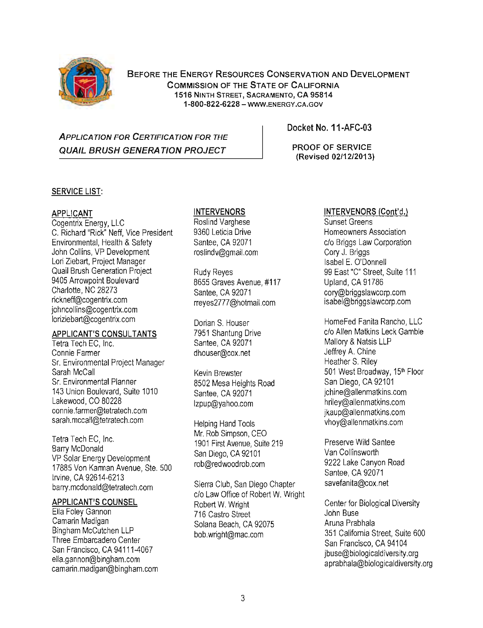

BEFORE THE ENERGY RESOURCES CONSERVATION AND DEVELOPMENT COMMISSION OF THE STATE OF CALIFORNIA 1516 NINTH STREET, SACRAMENTO, CA 95814 1-800-822-6228 - WWW.ENERGY.CA.GOV

## **APPLICATION FOR CERTIFICATION FOR THE** QUAIL BRUSH GENERATION PROJECT PROOF OF SERVICE

Docket No. 11-AFC-03

(Revised 02/12/2013)

## SERVICE LIST:

## APPLICANT

Cogentrix Energy, LLC C. Richard "Rick" Neff, Vice President Environmental, Health & Safety John Collins, VP Development Lori Ziebart, Project Manager Quail Brush Generation Project 9405 Arrowpoint Boulevard Charlotte, NC 28273 rickneff@cogentrix.com johncollins@cogentrix.com loriziebart@cogentrix.com

#### APPLICANT'S CONSULTANTS

Tetra Tech EC, Inc. Connie Fanner Sr. Environmental Project Manager Sarah McCall Sr. Environmental Planner 143 Union Boulevard, Suite 1010 Lakewood, CO 80228 connie.fanner@tetratech.com sarah.mccall@tetratech.com

Tetra Tech EC, Inc. Barry McDonald VP Solar Energy Development 17885 Von Karman Avenue, Ste. 500 Irvine, CA 92614-6213 barry.mcdonald@tetratech.com

### APPLICANT'S COUNSEL

Ella Foley Gannon Camarin Madigan Bingham McCutchen LLP Three Embarcadero Center San Francisco, CA 94111-4067 ella.gannon@bingham.com camarin.madigan@bingham.com

### INTERVENORS

Roslind Varghese 9360 Leticia Drive Santee, CA 92071 roslindv@gmail.com

Rudy Reyes 8655 Graves Avenue, #117 Santee, CA 92071 rreyes2777@hotmail.com

Dorian S. Houser 7951 Shantung Drive Santee, CA 92071 dhouser@cox.net

Kevin Brewster 8502 Mesa Heights Road Santee, CA 92071 Izpup@yahoo.com

Helping Hand Tools Mr. Rob Simpson, CEO 1901 First Avenue, Suite 219 San Diego, CA 92101 rob@redwoodrob.com

Sierra Club, San Diego Chapter c/o Law Office of Robert W. Wright Robert W. Wright 716 Castro Street Solana Beach, CA 92075 bob.wright@mac.com

### INTERVENORS (Cont'd.)

Sunset Greens Homeowners Association c/o Briggs Law Corporation Cory J. Briggs Isabel E. O'Donnell 99 East "C" Street, Suite 111 Upland, CA 91786 cory@briggslawcorp.com isabel@briggslawcorp.com

HomeFed Fanita Rancho, LLC c/o Allen Matkins Leck Gamble Mallory & Natsis LLP Jeffrey A. Chine Heather S. Riley 501 West Broadway, 15<sup>th</sup> Floor San Diego, CA 92101 jchine@allenmatkins.com hriley@allenmatkins.com jkaup@allenmatkins.com vhoy@allenmatkins.com

Preserve Wild Santee Van Collinsworth 9222 Lake Canyon Road Santee, CA 92071 savefanita@cox.net

Center for Biological Diversity John Buse Aruna Prabhala 351 California Street, Suite 600 San Francisco, CA 94104 jbuse@biologicaldiversity.org aprabhala@biologicaldiversity.org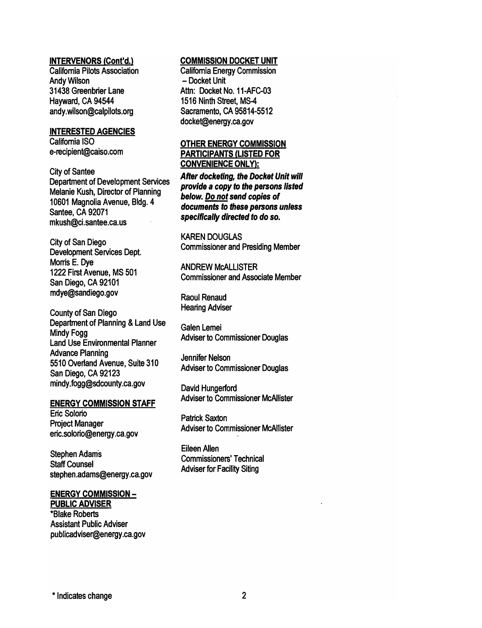#### INTERVENORS (Cont'd.)

California Pilots Association Andy Wilson 31438 Greenbrier Lane Hayward, CA 94544 andy.wilson@calpilots.org

#### INTERESTED AGENCIES

California ISO e-recipient@caiso.com

City of Santee Department of Development Services Melanie Kush, Director of Planning 10601 Magnolia Avenue, Bldg. 4 Santee, CA 92071 mkush@ci.santee.ca.us

City of San Diego Development Services Dept. Morris E. Dye 1222 First Avenue, MS 501 San Diego, CA 92101 mdye@sandiego.gov

County of San Diego Department of Planning & Land Use Mindy Fogg Land Use Environmental Planner Advance Planning 5510 Overland Avenue, Suite 310 San Diego, CA 92123 mindy.fogg@sdcounty.ca.gov

#### ENERGY COMMISSION STAFF

Eric Solorio Project Manager eric.solorio@energy.ca.gov

Stephen Adams Staff Counsel stephen.adams@energy.ca.gov

#### ENERGY COMMISSION - PUBLIC ADVISER

\*Blake Roberts Assistant Public Adviser pUblicadviser@energy.ca.gov

#### COMMISSION DOCKET UNIT

California Energy Commission - Docket Unit Attn: Docket No. 11-AFC-03 1516 Ninth Street, MS-4 Sacramento, CA 95814-5512 docket@energy.ca.gov

#### OTHER ENERGY COMMISSION PARTICIPANTS (LISTED FOR CONVENIENCE ONLY):

After docketing, the Docket Unit will provide a copy to the persons listed below. Do not send copies of documents to these persons unless specifically directed to do so.

KAREN DOUGLAS Commissioner and Presiding Member

ANDREW McALLISTER Commissioner and Associate Member

Raoul Renaud Hearing Adviser

Galen Lemei Adviser to Commissioner Douglas

Jennifer Nelson Adviser to Commissioner Douglas

David Hungerford Adviser to Commissioner McAllister

Patrick Saxton Adviser to Commissioner McAllister

Eileen Allen Commissioners' Technical Adviser for Facility Siting